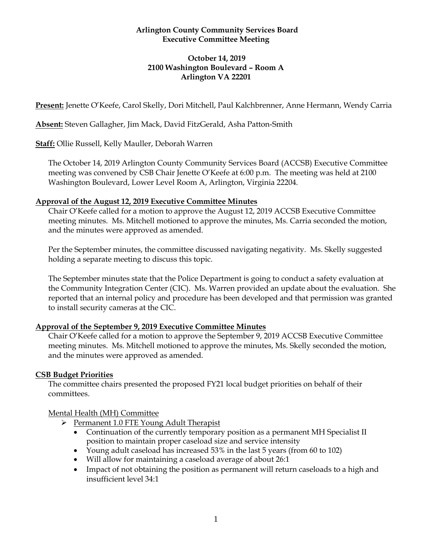### **Arlington County Community Services Board Executive Committee Meeting**

### **October 14, 2019 2100 Washington Boulevard – Room A Arlington VA 22201**

**Present:** Jenette O'Keefe, Carol Skelly, Dori Mitchell, Paul Kalchbrenner, Anne Hermann, Wendy Carria

**Absent:** Steven Gallagher, Jim Mack, David FitzGerald, Asha Patton-Smith

**Staff:** Ollie Russell, Kelly Mauller, Deborah Warren

The October 14, 2019 Arlington County Community Services Board (ACCSB) Executive Committee meeting was convened by CSB Chair Jenette O'Keefe at 6:00 p.m. The meeting was held at 2100 Washington Boulevard, Lower Level Room A, Arlington, Virginia 22204.

### **Approval of the August 12, 2019 Executive Committee Minutes**

Chair O'Keefe called for a motion to approve the August 12, 2019 ACCSB Executive Committee meeting minutes. Ms. Mitchell motioned to approve the minutes, Ms. Carria seconded the motion, and the minutes were approved as amended.

Per the September minutes, the committee discussed navigating negativity. Ms. Skelly suggested holding a separate meeting to discuss this topic.

The September minutes state that the Police Department is going to conduct a safety evaluation at the Community Integration Center (CIC). Ms. Warren provided an update about the evaluation. She reported that an internal policy and procedure has been developed and that permission was granted to install security cameras at the CIC.

### **Approval of the September 9, 2019 Executive Committee Minutes**

Chair O'Keefe called for a motion to approve the September 9, 2019 ACCSB Executive Committee meeting minutes. Ms. Mitchell motioned to approve the minutes, Ms. Skelly seconded the motion, and the minutes were approved as amended.

### **CSB Budget Priorities**

The committee chairs presented the proposed FY21 local budget priorities on behalf of their committees.

### Mental Health (MH) Committee

- ➢ Permanent 1.0 FTE Young Adult Therapist
	- Continuation of the currently temporary position as a permanent MH Specialist II position to maintain proper caseload size and service intensity
	- Young adult caseload has increased 53% in the last 5 years (from 60 to 102)
	- Will allow for maintaining a caseload average of about 26:1
	- Impact of not obtaining the position as permanent will return caseloads to a high and insufficient level 34:1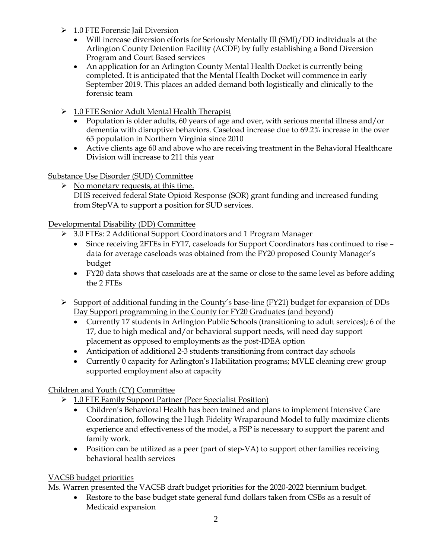- ➢ 1.0 FTE Forensic Jail Diversion
	- Will increase diversion efforts for Seriously Mentally Ill (SMI)/DD individuals at the Arlington County Detention Facility (ACDF) by fully establishing a Bond Diversion Program and Court Based services
	- An application for an Arlington County Mental Health Docket is currently being completed. It is anticipated that the Mental Health Docket will commence in early September 2019. This places an added demand both logistically and clinically to the forensic team
- ➢ 1.0 FTE Senior Adult Mental Health Therapist
	- Population is older adults, 60 years of age and over, with serious mental illness and/or dementia with disruptive behaviors. Caseload increase due to 69.2% increase in the over 65 population in Northern Virginia since 2010
	- Active clients age 60 and above who are receiving treatment in the Behavioral Healthcare Division will increase to 211 this year

Substance Use Disorder (SUD) Committee

 $\triangleright$  No monetary requests, at this time. DHS received federal State Opioid Response (SOR) grant funding and increased funding from StepVA to support a position for SUD services.

Developmental Disability (DD) Committee

- ➢ 3.0 FTEs: 2 Additional Support Coordinators and 1 Program Manager
	- Since receiving 2FTEs in FY17, caseloads for Support Coordinators has continued to rise data for average caseloads was obtained from the FY20 proposed County Manager's budget
	- FY20 data shows that caseloads are at the same or close to the same level as before adding the 2 FTEs
- ➢ Support of additional funding in the County's base-line (FY21) budget for expansion of DDs Day Support programming in the County for FY20 Graduates (and beyond)
	- Currently 17 students in Arlington Public Schools (transitioning to adult services); 6 of the 17, due to high medical and/or behavioral support needs, will need day support placement as opposed to employments as the post-IDEA option
	- Anticipation of additional 2-3 students transitioning from contract day schools
	- Currently 0 capacity for Arlington's Habilitation programs; MVLE cleaning crew group supported employment also at capacity

# Children and Youth (CY) Committee

- ➢ 1.0 FTE Family Support Partner (Peer Specialist Position)
	- Children's Behavioral Health has been trained and plans to implement Intensive Care Coordination, following the Hugh Fidelity Wraparound Model to fully maximize clients experience and effectiveness of the model, a FSP is necessary to support the parent and family work.
	- Position can be utilized as a peer (part of step-VA) to support other families receiving behavioral health services

# VACSB budget priorities

Ms. Warren presented the VACSB draft budget priorities for the 2020-2022 biennium budget.

Restore to the base budget state general fund dollars taken from CSBs as a result of Medicaid expansion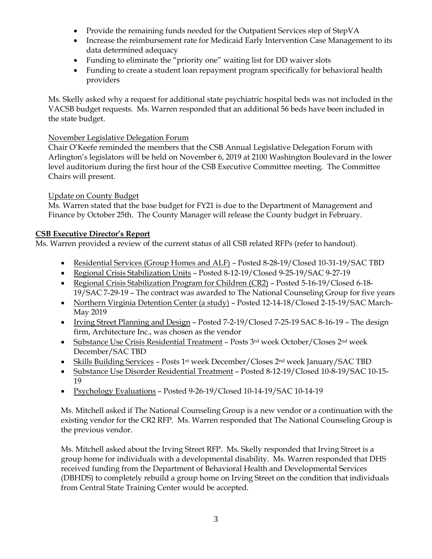- Provide the remaining funds needed for the Outpatient Services step of StepVA
- Increase the reimbursement rate for Medicaid Early Intervention Case Management to its data determined adequacy
- Funding to eliminate the "priority one" waiting list for DD waiver slots
- Funding to create a student loan repayment program specifically for behavioral health providers

Ms. Skelly asked why a request for additional state psychiatric hospital beds was not included in the VACSB budget requests. Ms. Warren responded that an additional 56 beds have been included in the state budget.

## November Legislative Delegation Forum

Chair O'Keefe reminded the members that the CSB Annual Legislative Delegation Forum with Arlington's legislators will be held on November 6, 2019 at 2100 Washington Boulevard in the lower level auditorium during the first hour of the CSB Executive Committee meeting. The Committee Chairs will present.

## Update on County Budget

Ms. Warren stated that the base budget for FY21 is due to the Department of Management and Finance by October 25th. The County Manager will release the County budget in February.

## **CSB Executive Director's Report**

Ms. Warren provided a review of the current status of all CSB related RFPs (refer to handout).

- Residential Services (Group Homes and ALF) Posted 8-28-19/Closed 10-31-19/SAC TBD
- Regional Crisis Stabilization Units Posted 8-12-19/Closed 9-25-19/SAC 9-27-19
- Regional Crisis Stabilization Program for Children (CR2) Posted 5-16-19/Closed 6-18- 19/SAC 7-29-19 – The contract was awarded to The National Counseling Group for five years
- Northern Virginia Detention Center (a study) Posted 12-14-18/Closed 2-15-19/SAC March-May 2019
- Irving Street Planning and Design Posted 7-2-19/Closed 7-25-19 SAC 8-16-19 The design firm, Architecture Inc., was chosen as the vendor
- Substance Use Crisis Residential Treatment Posts 3rd week October/Closes 2nd week December/SAC TBD
- Skills Building Services Posts 1<sup>st</sup> week December/Closes 2<sup>nd</sup> week January/SAC TBD
- Substance Use Disorder Residential Treatment Posted 8-12-19/Closed 10-8-19/SAC 10-15- 19
- Psychology Evaluations Posted 9-26-19/Closed 10-14-19/SAC 10-14-19

Ms. Mitchell asked if The National Counseling Group is a new vendor or a continuation with the existing vendor for the CR2 RFP. Ms. Warren responded that The National Counseling Group is the previous vendor.

Ms. Mitchell asked about the Irving Street RFP. Ms. Skelly responded that Irving Street is a group home for individuals with a developmental disability. Ms. Warren responded that DHS received funding from the Department of Behavioral Health and Developmental Services (DBHDS) to completely rebuild a group home on Irving Street on the condition that individuals from Central State Training Center would be accepted.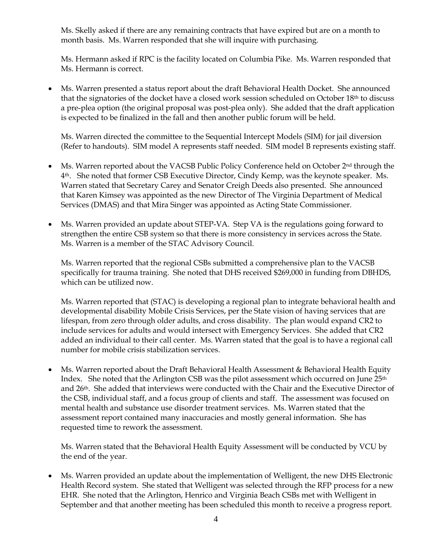Ms. Skelly asked if there are any remaining contracts that have expired but are on a month to month basis. Ms. Warren responded that she will inquire with purchasing.

Ms. Hermann asked if RPC is the facility located on Columbia Pike. Ms. Warren responded that Ms. Hermann is correct.

• Ms. Warren presented a status report about the draft Behavioral Health Docket. She announced that the signatories of the docket have a closed work session scheduled on October 18th to discuss a pre-plea option (the original proposal was post-plea only). She added that the draft application is expected to be finalized in the fall and then another public forum will be held.

Ms. Warren directed the committee to the Sequential Intercept Models (SIM) for jail diversion (Refer to handouts). SIM model A represents staff needed. SIM model B represents existing staff.

- Ms. Warren reported about the VACSB Public Policy Conference held on October 2<sup>nd</sup> through the 4th. She noted that former CSB Executive Director, Cindy Kemp, was the keynote speaker. Ms. Warren stated that Secretary Carey and Senator Creigh Deeds also presented. She announced that Karen Kimsey was appointed as the new Director of The Virginia Department of Medical Services (DMAS) and that Mira Singer was appointed as Acting State Commissioner.
- Ms. Warren provided an update about STEP-VA. Step VA is the regulations going forward to strengthen the entire CSB system so that there is more consistency in services across the State. Ms. Warren is a member of the STAC Advisory Council.

Ms. Warren reported that the regional CSBs submitted a comprehensive plan to the VACSB specifically for trauma training. She noted that DHS received \$269,000 in funding from DBHDS, which can be utilized now.

Ms. Warren reported that (STAC) is developing a regional plan to integrate behavioral health and developmental disability Mobile Crisis Services, per the State vision of having services that are lifespan, from zero through older adults, and cross disability. The plan would expand CR2 to include services for adults and would intersect with Emergency Services. She added that CR2 added an individual to their call center. Ms. Warren stated that the goal is to have a regional call number for mobile crisis stabilization services.

• Ms. Warren reported about the Draft Behavioral Health Assessment & Behavioral Health Equity Index. She noted that the Arlington CSB was the pilot assessment which occurred on June  $25<sup>th</sup>$ and 26th. She added that interviews were conducted with the Chair and the Executive Director of the CSB, individual staff, and a focus group of clients and staff. The assessment was focused on mental health and substance use disorder treatment services. Ms. Warren stated that the assessment report contained many inaccuracies and mostly general information. She has requested time to rework the assessment.

Ms. Warren stated that the Behavioral Health Equity Assessment will be conducted by VCU by the end of the year.

• Ms. Warren provided an update about the implementation of Welligent, the new DHS Electronic Health Record system. She stated that Welligent was selected through the RFP process for a new EHR. She noted that the Arlington, Henrico and Virginia Beach CSBs met with Welligent in September and that another meeting has been scheduled this month to receive a progress report.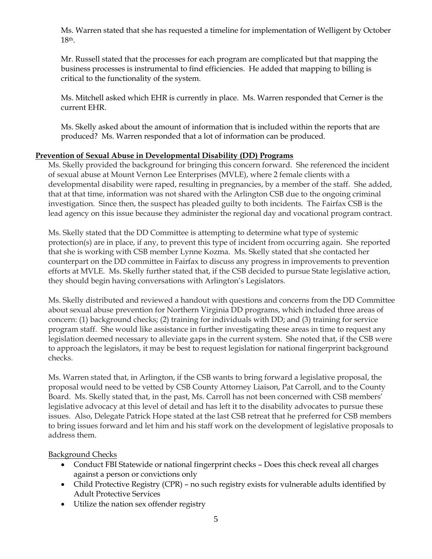Ms. Warren stated that she has requested a timeline for implementation of Welligent by October 18th.

Mr. Russell stated that the processes for each program are complicated but that mapping the business processes is instrumental to find efficiencies. He added that mapping to billing is critical to the functionality of the system.

Ms. Mitchell asked which EHR is currently in place. Ms. Warren responded that Cerner is the current EHR.

Ms. Skelly asked about the amount of information that is included within the reports that are produced? Ms. Warren responded that a lot of information can be produced.

### **Prevention of Sexual Abuse in Developmental Disability (DD) Programs**

Ms. Skelly provided the background for bringing this concern forward. She referenced the incident of sexual abuse at Mount Vernon Lee Enterprises (MVLE), where 2 female clients with a developmental disability were raped, resulting in pregnancies, by a member of the staff. She added, that at that time, information was not shared with the Arlington CSB due to the ongoing criminal investigation. Since then, the suspect has pleaded guilty to both incidents. The Fairfax CSB is the lead agency on this issue because they administer the regional day and vocational program contract.

Ms. Skelly stated that the DD Committee is attempting to determine what type of systemic protection(s) are in place, if any, to prevent this type of incident from occurring again. She reported that she is working with CSB member Lynne Kozma. Ms. Skelly stated that she contacted her counterpart on the DD committee in Fairfax to discuss any progress in improvements to prevention efforts at MVLE. Ms. Skelly further stated that, if the CSB decided to pursue State legislative action, they should begin having conversations with Arlington's Legislators.

Ms. Skelly distributed and reviewed a handout with questions and concerns from the DD Committee about sexual abuse prevention for Northern Virginia DD programs, which included three areas of concern: (1) background checks; (2) training for individuals with DD; and (3) training for service program staff. She would like assistance in further investigating these areas in time to request any legislation deemed necessary to alleviate gaps in the current system. She noted that, if the CSB were to approach the legislators, it may be best to request legislation for national fingerprint background checks.

Ms. Warren stated that, in Arlington, if the CSB wants to bring forward a legislative proposal, the proposal would need to be vetted by CSB County Attorney Liaison, Pat Carroll, and to the County Board. Ms. Skelly stated that, in the past, Ms. Carroll has not been concerned with CSB members' legislative advocacy at this level of detail and has left it to the disability advocates to pursue these issues. Also, Delegate Patrick Hope stated at the last CSB retreat that he preferred for CSB members to bring issues forward and let him and his staff work on the development of legislative proposals to address them.

## Background Checks

- Conduct FBI Statewide or national fingerprint checks Does this check reveal all charges against a person or convictions only
- Child Protective Registry (CPR) no such registry exists for vulnerable adults identified by Adult Protective Services
- Utilize the nation sex offender registry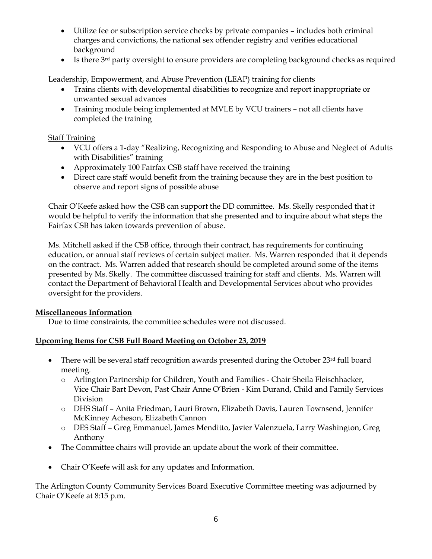- Utilize fee or subscription service checks by private companies includes both criminal charges and convictions, the national sex offender registry and verifies educational background
- Is there 3<sup>rd</sup> party oversight to ensure providers are completing background checks as required

Leadership, Empowerment, and Abuse Prevention (LEAP) training for clients

- Trains clients with developmental disabilities to recognize and report inappropriate or unwanted sexual advances
- Training module being implemented at MVLE by VCU trainers not all clients have completed the training

### Staff Training

- VCU offers a 1-day "Realizing, Recognizing and Responding to Abuse and Neglect of Adults with Disabilities" training
- Approximately 100 Fairfax CSB staff have received the training
- Direct care staff would benefit from the training because they are in the best position to observe and report signs of possible abuse

Chair O'Keefe asked how the CSB can support the DD committee. Ms. Skelly responded that it would be helpful to verify the information that she presented and to inquire about what steps the Fairfax CSB has taken towards prevention of abuse.

Ms. Mitchell asked if the CSB office, through their contract, has requirements for continuing education, or annual staff reviews of certain subject matter. Ms. Warren responded that it depends on the contract. Ms. Warren added that research should be completed around some of the items presented by Ms. Skelly. The committee discussed training for staff and clients. Ms. Warren will contact the Department of Behavioral Health and Developmental Services about who provides oversight for the providers.

## **Miscellaneous Information**

Due to time constraints, the committee schedules were not discussed.

## **Upcoming Items for CSB Full Board Meeting on October 23, 2019**

- There will be several staff recognition awards presented during the October 23rd full board meeting.
	- o Arlington Partnership for Children, Youth and Families Chair Sheila Fleischhacker, Vice Chair Bart Devon, Past Chair Anne O'Brien - Kim Durand, Child and Family Services Division
	- o DHS Staff Anita Friedman, Lauri Brown, Elizabeth Davis, Lauren Townsend, Jennifer McKinney Acheson, Elizabeth Cannon
	- o DES Staff Greg Emmanuel, James Menditto, Javier Valenzuela, Larry Washington, Greg Anthony
- The Committee chairs will provide an update about the work of their committee.
- Chair O'Keefe will ask for any updates and Information.

The Arlington County Community Services Board Executive Committee meeting was adjourned by Chair O'Keefe at 8:15 p.m.